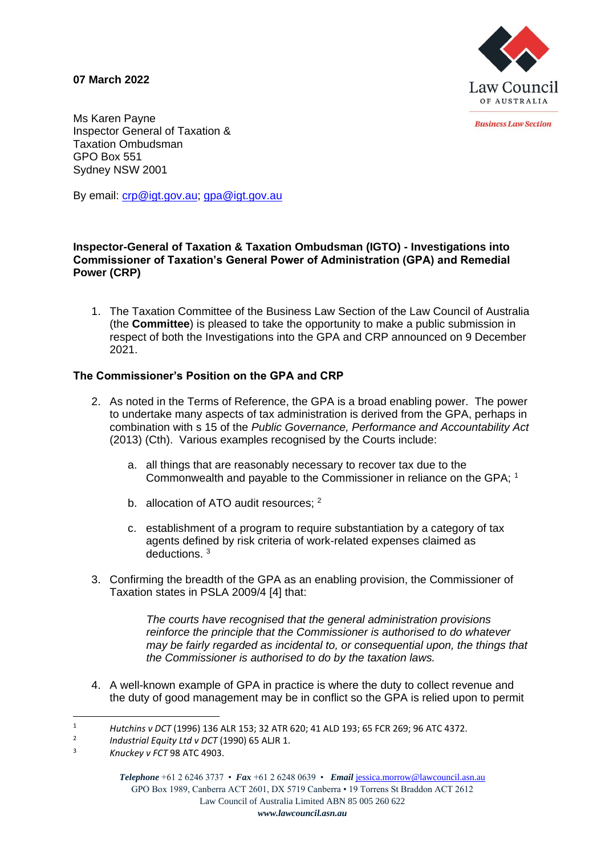**07 March 2022**



**Business Law Section** 

Ms Karen Payne Inspector General of Taxation & Taxation Ombudsman GPO Box 551 Sydney NSW 2001

By email: [crp@igt.gov.au;](mailto:crp@igt.gov.au) [gpa@igt.gov.au](mailto:gpa@igt.gov.au)

### **Inspector-General of Taxation & Taxation Ombudsman (IGTO) - Investigations into Commissioner of Taxation's General Power of Administration (GPA) and Remedial Power (CRP)**

1. The Taxation Committee of the Business Law Section of the Law Council of Australia (the **Committee**) is pleased to take the opportunity to make a public submission in respect of both the Investigations into the GPA and CRP announced on 9 December 2021.

## **The Commissioner's Position on the GPA and CRP**

- 2. As noted in the Terms of Reference, the GPA is a broad enabling power. The power to undertake many aspects of tax administration is derived from the GPA, perhaps in combination with s 15 of the *Public Governance, Performance and Accountability Act* (2013) (Cth). Various examples recognised by the Courts include:
	- a. all things that are reasonably necessary to recover tax due to the Commonwealth and payable to the Commissioner in reliance on the GPA; <sup>1</sup>
	- b. allocation of ATO audit resources; <sup>2</sup>
	- c. establishment of a program to require substantiation by a category of tax agents defined by risk criteria of work-related expenses claimed as deductions. <sup>3</sup>
- 3. Confirming the breadth of the GPA as an enabling provision, the Commissioner of Taxation states in PSLA 2009/4 [4] that:

*The courts have recognised that the general administration provisions reinforce the principle that the Commissioner is authorised to do whatever may be fairly regarded as incidental to, or consequential upon, the things that the Commissioner is authorised to do by the taxation laws.* 

4. A well-known example of GPA in practice is where the duty to collect revenue and the duty of good management may be in conflict so the GPA is relied upon to permit

<sup>1</sup> *Hutchins v DCT* (1996) 136 ALR 153; 32 ATR 620; 41 ALD 193; 65 FCR 269; 96 ATC 4372.

<sup>2</sup> *Industrial Equity Ltd v DCT* (1990) 65 ALJR 1.

<sup>3</sup> *Knuckey v FCT* 98 ATC 4903.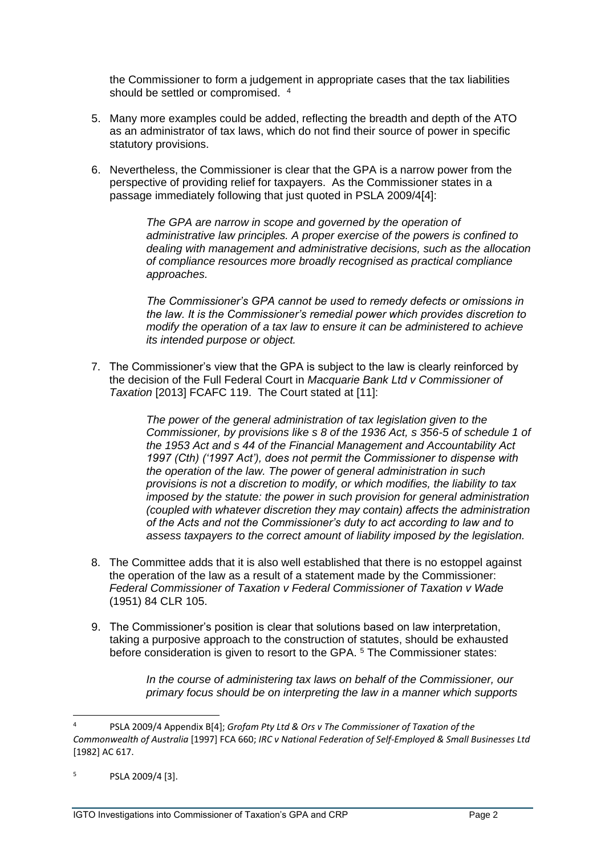the Commissioner to form a judgement in appropriate cases that the tax liabilities should be settled or compromised. 4

- 5. Many more examples could be added, reflecting the breadth and depth of the ATO as an administrator of tax laws, which do not find their source of power in specific statutory provisions.
- 6. Nevertheless, the Commissioner is clear that the GPA is a narrow power from the perspective of providing relief for taxpayers. As the Commissioner states in a passage immediately following that just quoted in PSLA 2009/4[4]:

*The GPA are narrow in scope and governed by the operation of administrative law principles. A proper exercise of the powers is confined to dealing with management and administrative decisions, such as the allocation of compliance resources more broadly recognised as practical compliance approaches.* 

*The Commissioner's GPA cannot be used to remedy defects or omissions in the law. It is the Commissioner's remedial power which provides discretion to modify the operation of a tax law to ensure it can be administered to achieve its intended purpose or object.* 

7. The Commissioner's view that the GPA is subject to the law is clearly reinforced by the decision of the Full Federal Court in *Macquarie Bank Ltd v Commissioner of Taxation* [2013] FCAFC 119. The Court stated at [11]:

> *The power of the general administration of tax legislation given to the Commissioner, by provisions like s 8 of the 1936 Act, s 356-5 of schedule 1 of the 1953 Act and s 44 of the Financial Management and Accountability Act 1997 (Cth) ('1997 Act'), does not permit the Commissioner to dispense with the operation of the law. The power of general administration in such provisions is not a discretion to modify, or which modifies, the liability to tax imposed by the statute: the power in such provision for general administration (coupled with whatever discretion they may contain) affects the administration of the Acts and not the Commissioner's duty to act according to law and to assess taxpayers to the correct amount of liability imposed by the legislation.*

- 8. The Committee adds that it is also well established that there is no estoppel against the operation of the law as a result of a statement made by the Commissioner: *Federal Commissioner of Taxation v Federal Commissioner of Taxation v Wade* (1951) 84 CLR 105.
- 9. The Commissioner's position is clear that solutions based on law interpretation, taking a purposive approach to the construction of statutes, should be exhausted before consideration is given to resort to the GPA. <sup>5</sup> The Commissioner states:

*In the course of administering tax laws on behalf of the Commissioner, our primary focus should be on interpreting the law in a manner which supports* 

<sup>4</sup> PSLA 2009/4 Appendix B[4]; *Grofam Pty Ltd & Ors v The Commissioner of Taxation of the Commonwealth of Australia* [1997] FCA 660; *IRC v National Federation of Self-Employed & Small Businesses Ltd* [1982] AC 617.

 $5$  PSLA 2009/4 [3].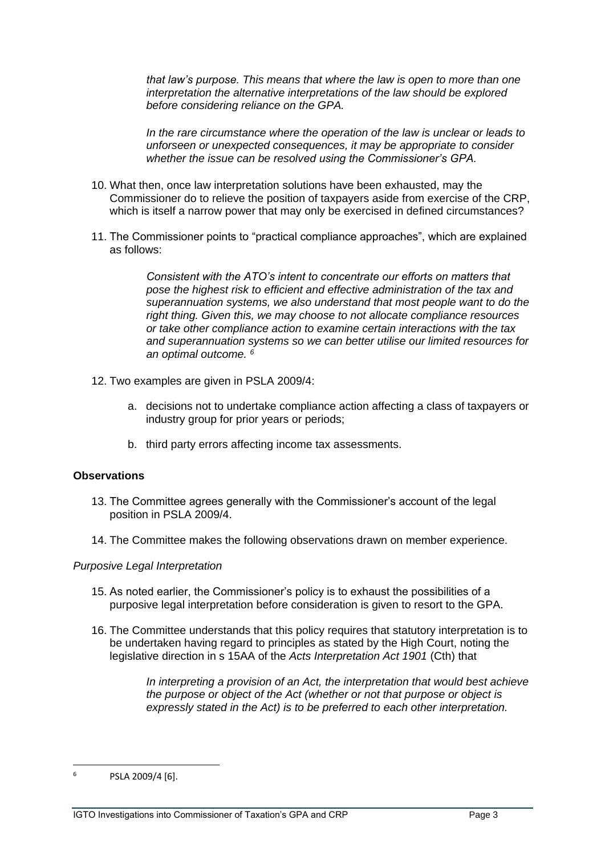*that law's purpose. This means that where the law is open to more than one interpretation the alternative interpretations of the law should be explored before considering reliance on the GPA.* 

*In the rare circumstance where the operation of the law is unclear or leads to unforseen or unexpected consequences, it may be appropriate to consider whether the issue can be resolved using the Commissioner's GPA.* 

- 10. What then, once law interpretation solutions have been exhausted, may the Commissioner do to relieve the position of taxpayers aside from exercise of the CRP, which is itself a narrow power that may only be exercised in defined circumstances?
- 11. The Commissioner points to "practical compliance approaches", which are explained as follows:

*Consistent with the ATO's intent to concentrate our efforts on matters that pose the highest risk to efficient and effective administration of the tax and superannuation systems, we also understand that most people want to do the right thing. Given this, we may choose to not allocate compliance resources or take other compliance action to examine certain interactions with the tax and superannuation systems so we can better utilise our limited resources for an optimal outcome. <sup>6</sup>*

- 12. Two examples are given in PSLA 2009/4:
	- a. decisions not to undertake compliance action affecting a class of taxpayers or industry group for prior years or periods;
	- b. third party errors affecting income tax assessments.

## **Observations**

- 13. The Committee agrees generally with the Commissioner's account of the legal position in PSLA 2009/4.
- 14. The Committee makes the following observations drawn on member experience.

## *Purposive Legal Interpretation*

- 15. As noted earlier, the Commissioner's policy is to exhaust the possibilities of a purposive legal interpretation before consideration is given to resort to the GPA.
- 16. The Committee understands that this policy requires that statutory interpretation is to be undertaken having regard to principles as stated by the High Court, noting the legislative direction in s 15AA of the *Acts Interpretation Act 1901* (Cth) that

*In interpreting a provision of an Act, the interpretation that would best achieve the purpose or object of the Act (whether or not that purpose or object is expressly stated in the Act) is to be preferred to each other interpretation.*

<sup>6</sup> PSLA 2009/4 [6].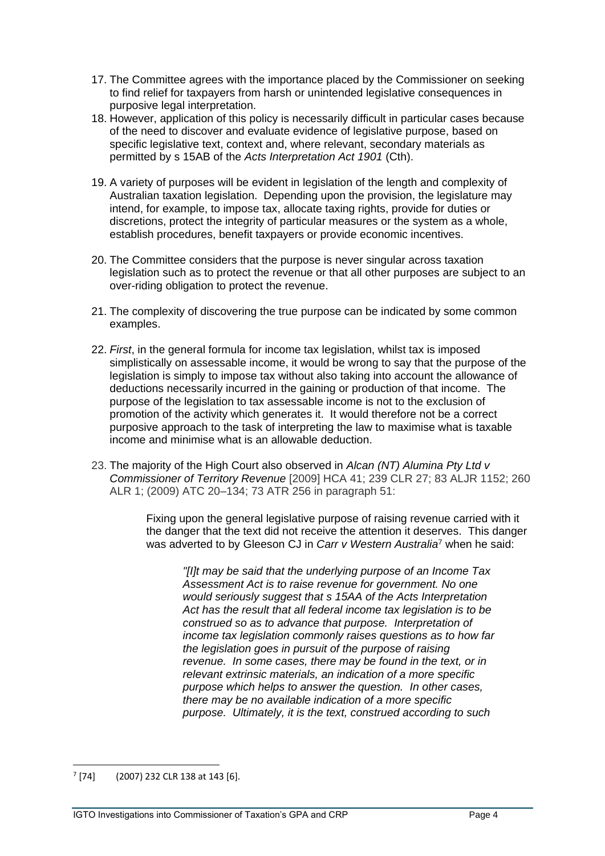- 17. The Committee agrees with the importance placed by the Commissioner on seeking to find relief for taxpayers from harsh or unintended legislative consequences in purposive legal interpretation.
- 18. However, application of this policy is necessarily difficult in particular cases because of the need to discover and evaluate evidence of legislative purpose, based on specific legislative text, context and, where relevant, secondary materials as permitted by s 15AB of the *Acts Interpretation Act 1901* (Cth).
- 19. A variety of purposes will be evident in legislation of the length and complexity of Australian taxation legislation. Depending upon the provision, the legislature may intend, for example, to impose tax, allocate taxing rights, provide for duties or discretions, protect the integrity of particular measures or the system as a whole, establish procedures, benefit taxpayers or provide economic incentives.
- 20. The Committee considers that the purpose is never singular across taxation legislation such as to protect the revenue or that all other purposes are subject to an over-riding obligation to protect the revenue.
- 21. The complexity of discovering the true purpose can be indicated by some common examples.
- 22. *First*, in the general formula for income tax legislation, whilst tax is imposed simplistically on assessable income, it would be wrong to say that the purpose of the legislation is simply to impose tax without also taking into account the allowance of deductions necessarily incurred in the gaining or production of that income. The purpose of the legislation to tax assessable income is not to the exclusion of promotion of the activity which generates it. It would therefore not be a correct purposive approach to the task of interpreting the law to maximise what is taxable income and minimise what is an allowable deduction.
- 23. The majority of the High Court also observed in *Alcan (NT) Alumina Pty Ltd v Commissioner of Territory Revenue* [2009] HCA 41; 239 CLR 27; 83 ALJR 1152; 260 ALR 1; (2009) ATC 20–134; 73 ATR 256 in paragraph 51:

Fixing upon the general legislative purpose of raising revenue carried with it the danger that the text did not receive the attention it deserves. This danger was adverted to by Gleeson CJ in *[Carr v Western Australia](https://jade.io/article/16444)*<sup>7</sup> when he said:

*"[I]t may be said that the underlying purpose of an Income Tax Assessment Act is to raise revenue for government. No one would seriously suggest that s [15AA](https://jade.io/article/219526/section/2256) of the [Acts Interpretation](https://jade.io/article/219526)  [Act](https://jade.io/article/219526) has the result that all federal income tax legislation is to be construed so as to advance that purpose. Interpretation of income tax legislation commonly raises questions as to how far the legislation goes in pursuit of the purpose of raising revenue. In some cases, there may be found in the text, or in relevant extrinsic materials, an indication of a more specific purpose which helps to answer the question. In other cases, there may be no available indication of a more specific purpose. Ultimately, it is the text, construed according to such* 

 $7$  [74] (2007) 232 CLR 138 at 143 [6].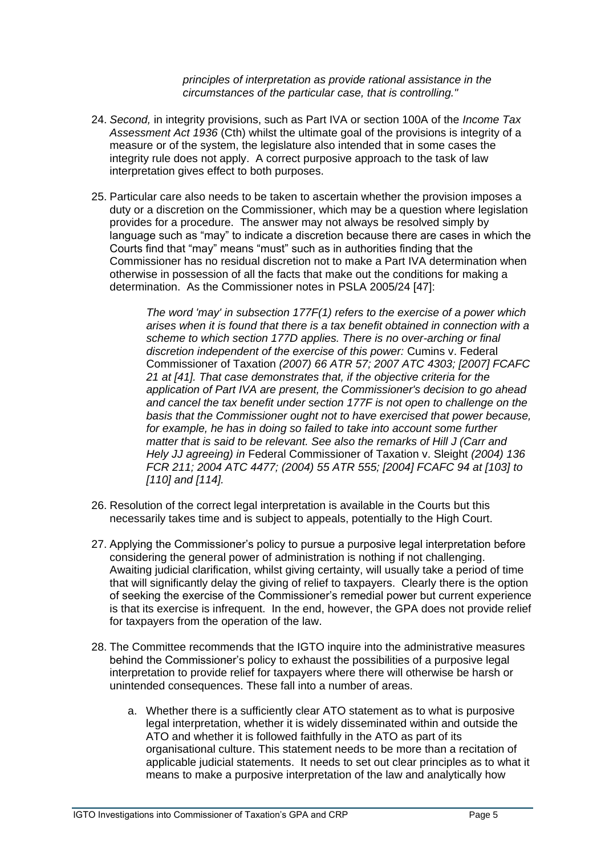*principles of interpretation as provide rational assistance in the circumstances of the particular case, that is controlling."*

- 24. *Second,* in integrity provisions, such as Part IVA or section 100A of the *Income Tax Assessment Act 1936* (Cth) whilst the ultimate goal of the provisions is integrity of a measure or of the system, the legislature also intended that in some cases the integrity rule does not apply. A correct purposive approach to the task of law interpretation gives effect to both purposes.
- 25. Particular care also needs to be taken to ascertain whether the provision imposes a duty or a discretion on the Commissioner, which may be a question where legislation provides for a procedure. The answer may not always be resolved simply by language such as "may" to indicate a discretion because there are cases in which the Courts find that "may" means "must" such as in authorities finding that the Commissioner has no residual discretion not to make a Part IVA determination when otherwise in possession of all the facts that make out the conditions for making a determination. As the Commissioner notes in PSLA 2005/24 [47]:

*The word 'may' in subsection 177F(1) refers to the exercise of a power which arises when it is found that there is a tax benefit obtained in connection with a scheme to which section 177D applies. There is no over-arching or final discretion independent of the exercise of this power:* Cumins v. Federal Commissioner of Taxation *(2007) 66 ATR 57; 2007 ATC 4303; [2007] FCAFC 21 at [41]. That case demonstrates that, if the objective criteria for the application of Part IVA are present, the Commissioner's decision to go ahead and cancel the tax benefit under section 177F is not open to challenge on the basis that the Commissioner ought not to have exercised that power because, for example, he has in doing so failed to take into account some further matter that is said to be relevant. See also the remarks of Hill J (Carr and Hely JJ agreeing) in* Federal Commissioner of Taxation v. Sleight *(2004) 136 FCR 211; 2004 ATC 4477; (2004) 55 ATR 555; [2004] FCAFC 94 at [103] to [110] and [114].*

- 26. Resolution of the correct legal interpretation is available in the Courts but this necessarily takes time and is subject to appeals, potentially to the High Court.
- 27. Applying the Commissioner's policy to pursue a purposive legal interpretation before considering the general power of administration is nothing if not challenging. Awaiting judicial clarification, whilst giving certainty, will usually take a period of time that will significantly delay the giving of relief to taxpayers. Clearly there is the option of seeking the exercise of the Commissioner's remedial power but current experience is that its exercise is infrequent. In the end, however, the GPA does not provide relief for taxpayers from the operation of the law.
- 28. The Committee recommends that the IGTO inquire into the administrative measures behind the Commissioner's policy to exhaust the possibilities of a purposive legal interpretation to provide relief for taxpayers where there will otherwise be harsh or unintended consequences. These fall into a number of areas.
	- a. Whether there is a sufficiently clear ATO statement as to what is purposive legal interpretation, whether it is widely disseminated within and outside the ATO and whether it is followed faithfully in the ATO as part of its organisational culture. This statement needs to be more than a recitation of applicable judicial statements. It needs to set out clear principles as to what it means to make a purposive interpretation of the law and analytically how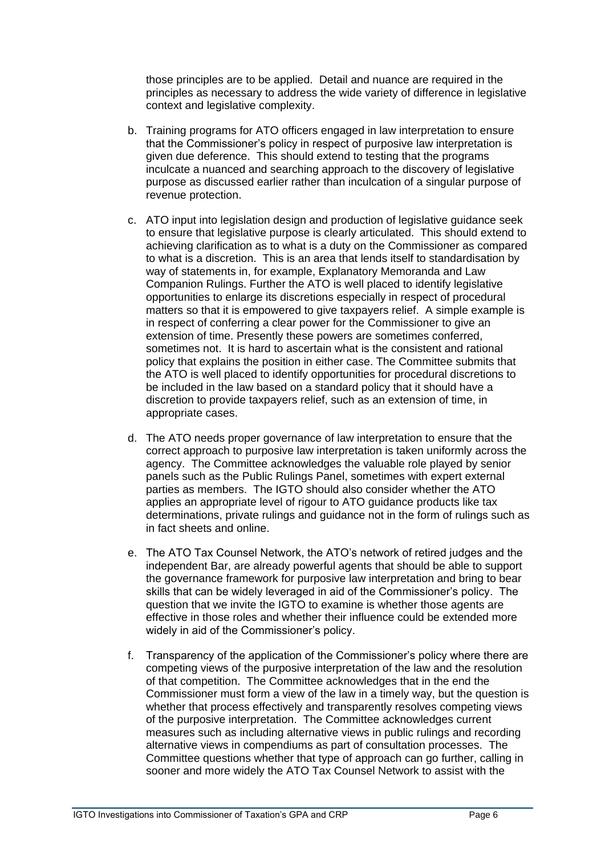those principles are to be applied. Detail and nuance are required in the principles as necessary to address the wide variety of difference in legislative context and legislative complexity.

- b. Training programs for ATO officers engaged in law interpretation to ensure that the Commissioner's policy in respect of purposive law interpretation is given due deference. This should extend to testing that the programs inculcate a nuanced and searching approach to the discovery of legislative purpose as discussed earlier rather than inculcation of a singular purpose of revenue protection.
- c. ATO input into legislation design and production of legislative guidance seek to ensure that legislative purpose is clearly articulated. This should extend to achieving clarification as to what is a duty on the Commissioner as compared to what is a discretion. This is an area that lends itself to standardisation by way of statements in, for example, Explanatory Memoranda and Law Companion Rulings. Further the ATO is well placed to identify legislative opportunities to enlarge its discretions especially in respect of procedural matters so that it is empowered to give taxpayers relief. A simple example is in respect of conferring a clear power for the Commissioner to give an extension of time. Presently these powers are sometimes conferred, sometimes not. It is hard to ascertain what is the consistent and rational policy that explains the position in either case. The Committee submits that the ATO is well placed to identify opportunities for procedural discretions to be included in the law based on a standard policy that it should have a discretion to provide taxpayers relief, such as an extension of time, in appropriate cases.
- d. The ATO needs proper governance of law interpretation to ensure that the correct approach to purposive law interpretation is taken uniformly across the agency. The Committee acknowledges the valuable role played by senior panels such as the Public Rulings Panel, sometimes with expert external parties as members. The IGTO should also consider whether the ATO applies an appropriate level of rigour to ATO guidance products like tax determinations, private rulings and guidance not in the form of rulings such as in fact sheets and online.
- e. The ATO Tax Counsel Network, the ATO's network of retired judges and the independent Bar, are already powerful agents that should be able to support the governance framework for purposive law interpretation and bring to bear skills that can be widely leveraged in aid of the Commissioner's policy. The question that we invite the IGTO to examine is whether those agents are effective in those roles and whether their influence could be extended more widely in aid of the Commissioner's policy.
- f. Transparency of the application of the Commissioner's policy where there are competing views of the purposive interpretation of the law and the resolution of that competition. The Committee acknowledges that in the end the Commissioner must form a view of the law in a timely way, but the question is whether that process effectively and transparently resolves competing views of the purposive interpretation. The Committee acknowledges current measures such as including alternative views in public rulings and recording alternative views in compendiums as part of consultation processes. The Committee questions whether that type of approach can go further, calling in sooner and more widely the ATO Tax Counsel Network to assist with the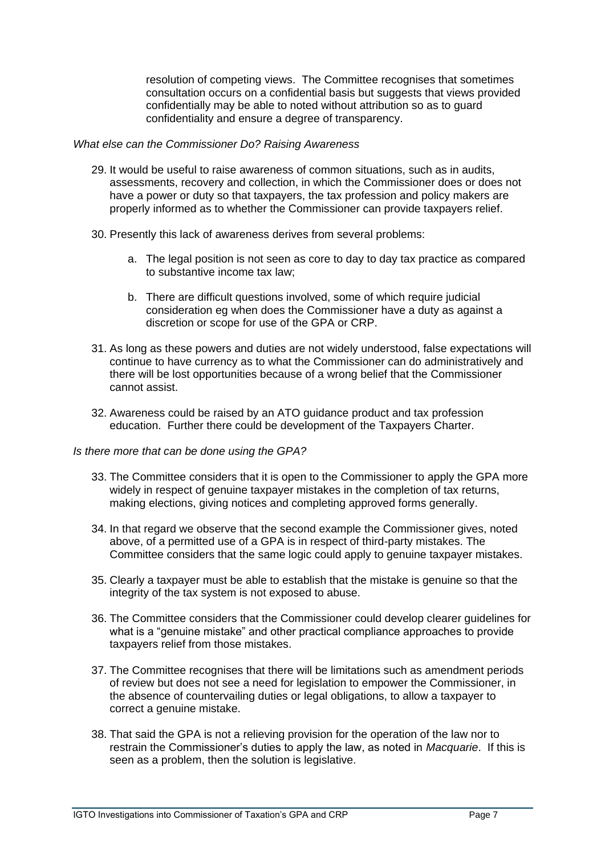resolution of competing views. The Committee recognises that sometimes consultation occurs on a confidential basis but suggests that views provided confidentially may be able to noted without attribution so as to guard confidentiality and ensure a degree of transparency.

#### *What else can the Commissioner Do? Raising Awareness*

- 29. It would be useful to raise awareness of common situations, such as in audits, assessments, recovery and collection, in which the Commissioner does or does not have a power or duty so that taxpayers, the tax profession and policy makers are properly informed as to whether the Commissioner can provide taxpayers relief.
- 30. Presently this lack of awareness derives from several problems:
	- a. The legal position is not seen as core to day to day tax practice as compared to substantive income tax law;
	- b. There are difficult questions involved, some of which require judicial consideration eg when does the Commissioner have a duty as against a discretion or scope for use of the GPA or CRP.
- 31. As long as these powers and duties are not widely understood, false expectations will continue to have currency as to what the Commissioner can do administratively and there will be lost opportunities because of a wrong belief that the Commissioner cannot assist.
- 32. Awareness could be raised by an ATO guidance product and tax profession education. Further there could be development of the Taxpayers Charter.

#### *Is there more that can be done using the GPA?*

- 33. The Committee considers that it is open to the Commissioner to apply the GPA more widely in respect of genuine taxpayer mistakes in the completion of tax returns, making elections, giving notices and completing approved forms generally.
- 34. In that regard we observe that the second example the Commissioner gives, noted above, of a permitted use of a GPA is in respect of third-party mistakes. The Committee considers that the same logic could apply to genuine taxpayer mistakes.
- 35. Clearly a taxpayer must be able to establish that the mistake is genuine so that the integrity of the tax system is not exposed to abuse.
- 36. The Committee considers that the Commissioner could develop clearer guidelines for what is a "genuine mistake" and other practical compliance approaches to provide taxpayers relief from those mistakes.
- 37. The Committee recognises that there will be limitations such as amendment periods of review but does not see a need for legislation to empower the Commissioner, in the absence of countervailing duties or legal obligations, to allow a taxpayer to correct a genuine mistake.
- 38. That said the GPA is not a relieving provision for the operation of the law nor to restrain the Commissioner's duties to apply the law, as noted in *Macquarie*. If this is seen as a problem, then the solution is legislative.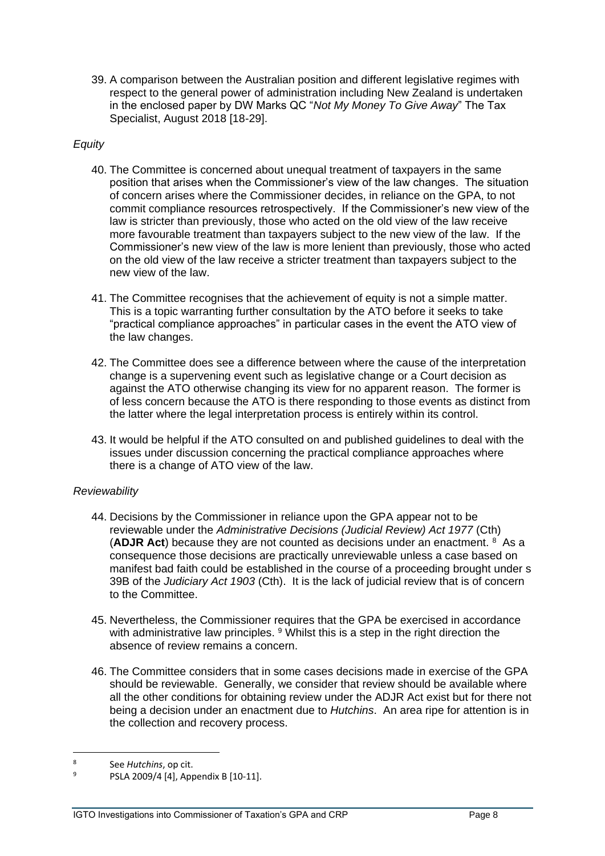39. A comparison between the Australian position and different legislative regimes with respect to the general power of administration including New Zealand is undertaken in the enclosed paper by DW Marks QC "*Not My Money To Give Away*" The Tax Specialist, August 2018 [18-29].

# *Equity*

- 40. The Committee is concerned about unequal treatment of taxpayers in the same position that arises when the Commissioner's view of the law changes. The situation of concern arises where the Commissioner decides, in reliance on the GPA, to not commit compliance resources retrospectively. If the Commissioner's new view of the law is stricter than previously, those who acted on the old view of the law receive more favourable treatment than taxpayers subject to the new view of the law. If the Commissioner's new view of the law is more lenient than previously, those who acted on the old view of the law receive a stricter treatment than taxpayers subject to the new view of the law.
- 41. The Committee recognises that the achievement of equity is not a simple matter. This is a topic warranting further consultation by the ATO before it seeks to take "practical compliance approaches" in particular cases in the event the ATO view of the law changes.
- 42. The Committee does see a difference between where the cause of the interpretation change is a supervening event such as legislative change or a Court decision as against the ATO otherwise changing its view for no apparent reason. The former is of less concern because the ATO is there responding to those events as distinct from the latter where the legal interpretation process is entirely within its control.
- 43. It would be helpful if the ATO consulted on and published guidelines to deal with the issues under discussion concerning the practical compliance approaches where there is a change of ATO view of the law.

## *Reviewability*

- 44. Decisions by the Commissioner in reliance upon the GPA appear not to be reviewable under the *Administrative Decisions (Judicial Review) Act 1977* (Cth) (ADJR Act) because they are not counted as decisions under an enactment. <sup>8</sup> As a consequence those decisions are practically unreviewable unless a case based on manifest bad faith could be established in the course of a proceeding brought under s 39B of the *Judiciary Act 1903* (Cth). It is the lack of judicial review that is of concern to the Committee.
- 45. Nevertheless, the Commissioner requires that the GPA be exercised in accordance with administrative law principles. <sup>9</sup> Whilst this is a step in the right direction the absence of review remains a concern.
- 46. The Committee considers that in some cases decisions made in exercise of the GPA should be reviewable. Generally, we consider that review should be available where all the other conditions for obtaining review under the ADJR Act exist but for there not being a decision under an enactment due to *Hutchins*. An area ripe for attention is in the collection and recovery process.

<sup>8</sup> See *Hutchins*, op cit.

 $^{9}$  PSLA 2009/4 [4], Appendix B [10-11].